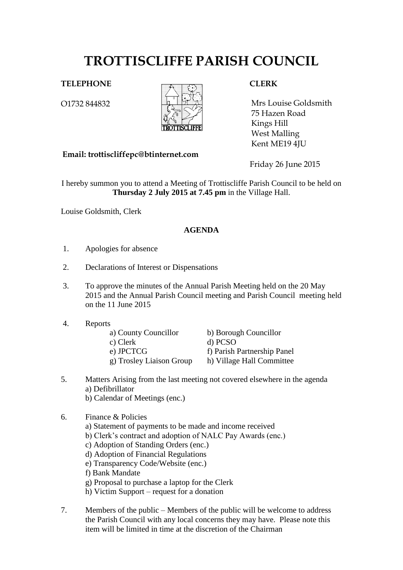# **TROTTISCLIFFE PARISH COUNCIL**

## **TELEPHONE CLERK**

O1732 844832



 75 Hazen Road Mrs Louise Goldsmith Kings Hill West Malling Kent ME19 4JU

**Email: trottiscliffepc@btinternet.com**

Friday 26 June 2015

I hereby summon you to attend a Meeting of Trottiscliffe Parish Council to be held on **Thursday 2 July 2015 at 7.45 pm** in the Village Hall.

Louise Goldsmith, Clerk

### **AGENDA**

- 1. Apologies for absence
- 2. Declarations of Interest or Dispensations
- 3. To approve the minutes of the Annual Parish Meeting held on the 20 May 2015 and the Annual Parish Council meeting and Parish Council meeting held on the 11 June 2015
- 4. Reports

| a) County Councillor     |
|--------------------------|
| c) Clerk                 |
| e) JPCTCG                |
| g) Trosley Liaison Group |

b) Borough Councillor

- d) PCSO
- f) Parish Partnership Panel
- g) Trosley Liaison Group h) Village Hall Committee
- 5. Matters Arising from the last meeting not covered elsewhere in the agenda a) Defibrillator
	- b) Calendar of Meetings (enc.)

# 6. Finance & Policies

- a) Statement of payments to be made and income received
	- b) Clerk's contract and adoption of NALC Pay Awards (enc.)
	- c) Adoption of Standing Orders (enc.)
	- d) Adoption of Financial Regulations
	- e) Transparency Code/Website (enc.)
	- f) Bank Mandate
	- g) Proposal to purchase a laptop for the Clerk
	- h) Victim Support request for a donation
- 7. Members of the public Members of the public will be welcome to address the Parish Council with any local concerns they may have. Please note this item will be limited in time at the discretion of the Chairman